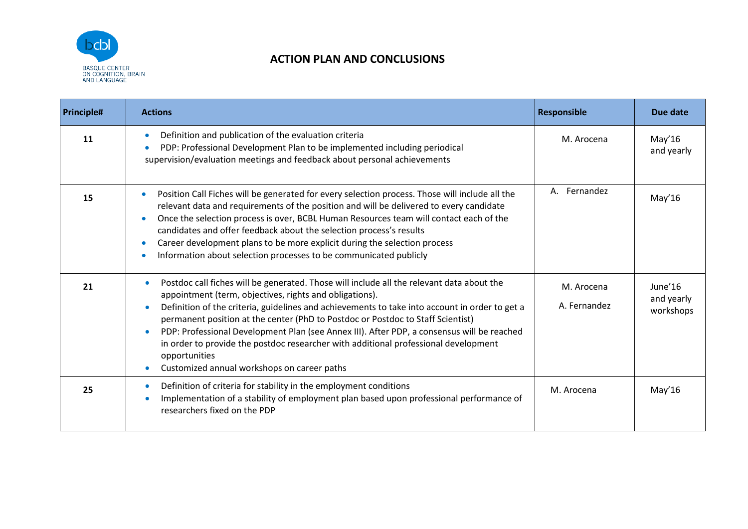

## **ACTION PLAN AND CONCLUSIONS**

| <b>Principle#</b> | <b>Actions</b>                                                                                                                                                                                                                                                                                                                                                                                                                                                                                                                                                                                              | <b>Responsible</b>         | Due date                           |
|-------------------|-------------------------------------------------------------------------------------------------------------------------------------------------------------------------------------------------------------------------------------------------------------------------------------------------------------------------------------------------------------------------------------------------------------------------------------------------------------------------------------------------------------------------------------------------------------------------------------------------------------|----------------------------|------------------------------------|
| 11                | Definition and publication of the evaluation criteria<br>PDP: Professional Development Plan to be implemented including periodical<br>supervision/evaluation meetings and feedback about personal achievements                                                                                                                                                                                                                                                                                                                                                                                              | M. Arocena                 | May'16<br>and yearly               |
| 15                | Position Call Fiches will be generated for every selection process. Those will include all the<br>relevant data and requirements of the position and will be delivered to every candidate<br>Once the selection process is over, BCBL Human Resources team will contact each of the<br>candidates and offer feedback about the selection process's results<br>Career development plans to be more explicit during the selection process<br>Information about selection processes to be communicated publicly                                                                                                | A. Fernandez               | May'16                             |
| 21                | Postdoc call fiches will be generated. Those will include all the relevant data about the<br>appointment (term, objectives, rights and obligations).<br>Definition of the criteria, guidelines and achievements to take into account in order to get a<br>permanent position at the center (PhD to Postdoc or Postdoc to Staff Scientist)<br>PDP: Professional Development Plan (see Annex III). After PDP, a consensus will be reached<br>$\bullet$<br>in order to provide the postdoc researcher with additional professional development<br>opportunities<br>Customized annual workshops on career paths | M. Arocena<br>A. Fernandez | June'16<br>and yearly<br>workshops |
| 25                | Definition of criteria for stability in the employment conditions<br>Implementation of a stability of employment plan based upon professional performance of<br>researchers fixed on the PDP                                                                                                                                                                                                                                                                                                                                                                                                                | M. Arocena                 | May'16                             |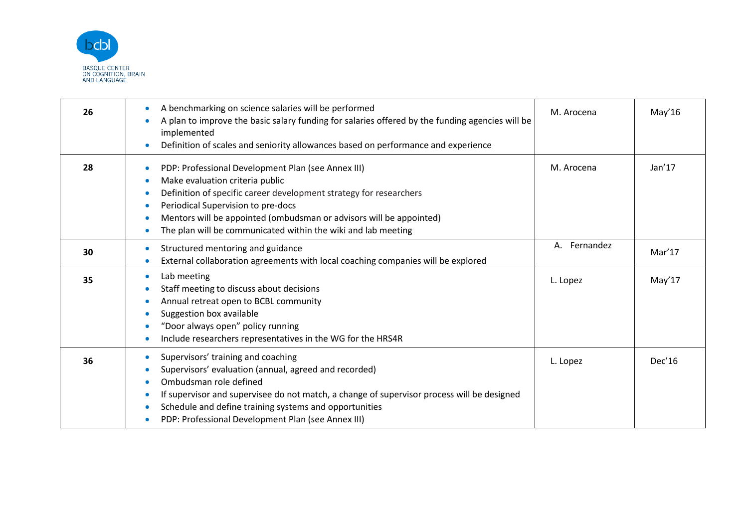

| 26 | A benchmarking on science salaries will be performed<br>A plan to improve the basic salary funding for salaries offered by the funding agencies will be<br>implemented<br>Definition of scales and seniority allowances based on performance and experience                                                                                            | M. Arocena   | May'16 |
|----|--------------------------------------------------------------------------------------------------------------------------------------------------------------------------------------------------------------------------------------------------------------------------------------------------------------------------------------------------------|--------------|--------|
| 28 | PDP: Professional Development Plan (see Annex III)<br>Make evaluation criteria public<br>$\bullet$<br>Definition of specific career development strategy for researchers<br>Periodical Supervision to pre-docs<br>Mentors will be appointed (ombudsman or advisors will be appointed)<br>The plan will be communicated within the wiki and lab meeting | M. Arocena   | Jan'17 |
| 30 | Structured mentoring and guidance<br>External collaboration agreements with local coaching companies will be explored                                                                                                                                                                                                                                  | A. Fernandez | Mar'17 |
| 35 | Lab meeting<br>Staff meeting to discuss about decisions<br>Annual retreat open to BCBL community<br>Suggestion box available<br>"Door always open" policy running<br>Include researchers representatives in the WG for the HRS4R                                                                                                                       | L. Lopez     | May'17 |
| 36 | Supervisors' training and coaching<br>Supervisors' evaluation (annual, agreed and recorded)<br>Ombudsman role defined<br>If supervisor and supervisee do not match, a change of supervisor process will be designed<br>Schedule and define training systems and opportunities<br>PDP: Professional Development Plan (see Annex III)                    | L. Lopez     | Dec'16 |